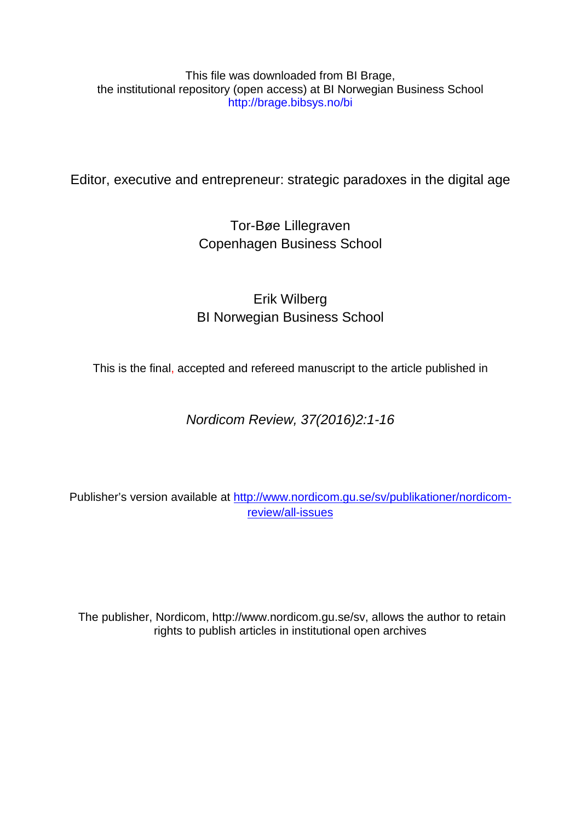# This file was downloaded from BI Brage, the institutional repository (open access) at BI Norwegian Business School http://brage.bibsys.no/bi

Editor, executive and entrepreneur: strategic paradoxes in the digital age

Tor-Bøe Lillegraven Copenhagen Business School

# Erik Wilberg BI Norwegian Business School

This is the final, accepted and refereed manuscript to the article published in

*Nordicom Review, 37(2016)2:1-16*

Publisher's version available at [http://www.nordicom.gu.se/sv/publikationer/nordicom](http://www.nordicom.gu.se/sv/publikationer/nordicom-review/all-issues)[review/all-issues](http://www.nordicom.gu.se/sv/publikationer/nordicom-review/all-issues)

The publisher, Nordicom, http://www.nordicom.gu.se/sv, allows the author to retain rights to publish articles in institutional open archives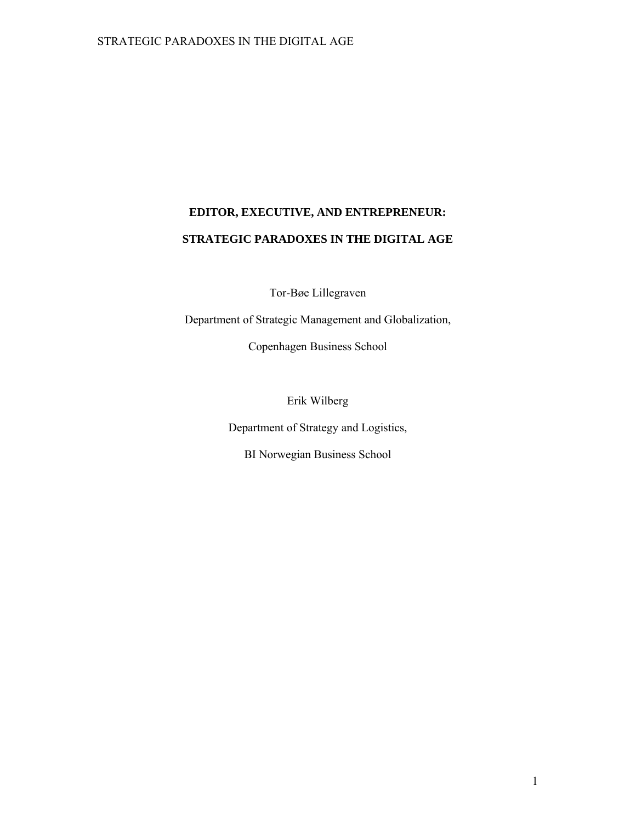# **EDITOR, EXECUTIVE, AND ENTREPRENEUR: STRATEGIC PARADOXES IN THE DIGITAL AGE**

Tor-Bøe Lillegraven

Department of Strategic Management and Globalization,

Copenhagen Business School

Erik Wilberg

Department of Strategy and Logistics,

BI Norwegian Business School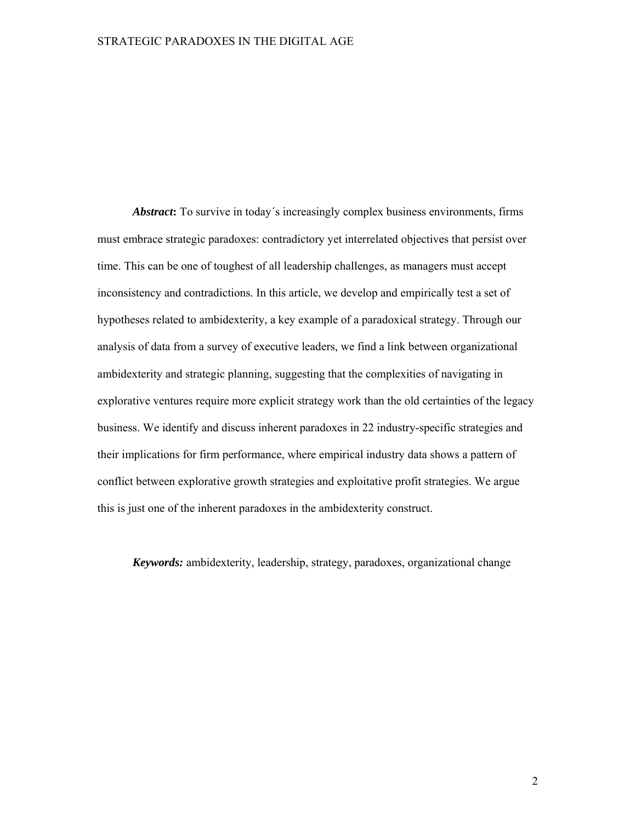*Abstract***:** To survive in today´s increasingly complex business environments, firms must embrace strategic paradoxes: contradictory yet interrelated objectives that persist over time. This can be one of toughest of all leadership challenges, as managers must accept inconsistency and contradictions. In this article, we develop and empirically test a set of hypotheses related to ambidexterity, a key example of a paradoxical strategy. Through our analysis of data from a survey of executive leaders, we find a link between organizational ambidexterity and strategic planning, suggesting that the complexities of navigating in explorative ventures require more explicit strategy work than the old certainties of the legacy business. We identify and discuss inherent paradoxes in 22 industry-specific strategies and their implications for firm performance, where empirical industry data shows a pattern of conflict between explorative growth strategies and exploitative profit strategies. We argue this is just one of the inherent paradoxes in the ambidexterity construct.

*Keywords:* ambidexterity, leadership, strategy, paradoxes, organizational change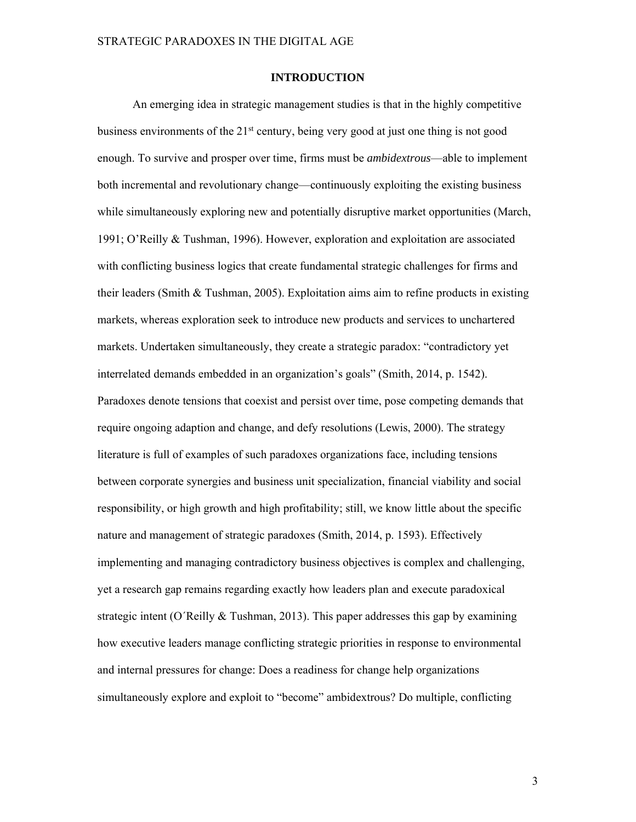## **INTRODUCTION**

An emerging idea in strategic management studies is that in the highly competitive business environments of the  $21<sup>st</sup>$  century, being very good at just one thing is not good enough. To survive and prosper over time, firms must be *ambidextrous*—able to implement both incremental and revolutionary change—continuously exploiting the existing business while simultaneously exploring new and potentially disruptive market opportunities (March, 1991; O'Reilly & Tushman, 1996). However, exploration and exploitation are associated with conflicting business logics that create fundamental strategic challenges for firms and their leaders (Smith & Tushman, 2005). Exploitation aims aim to refine products in existing markets, whereas exploration seek to introduce new products and services to unchartered markets. Undertaken simultaneously, they create a strategic paradox: "contradictory yet interrelated demands embedded in an organization's goals" (Smith, 2014, p. 1542). Paradoxes denote tensions that coexist and persist over time, pose competing demands that require ongoing adaption and change, and defy resolutions (Lewis, 2000). The strategy literature is full of examples of such paradoxes organizations face, including tensions between corporate synergies and business unit specialization, financial viability and social responsibility, or high growth and high profitability; still, we know little about the specific nature and management of strategic paradoxes (Smith, 2014, p. 1593). Effectively implementing and managing contradictory business objectives is complex and challenging, yet a research gap remains regarding exactly how leaders plan and execute paradoxical strategic intent (O´Reilly & Tushman, 2013). This paper addresses this gap by examining how executive leaders manage conflicting strategic priorities in response to environmental and internal pressures for change: Does a readiness for change help organizations simultaneously explore and exploit to "become" ambidextrous? Do multiple, conflicting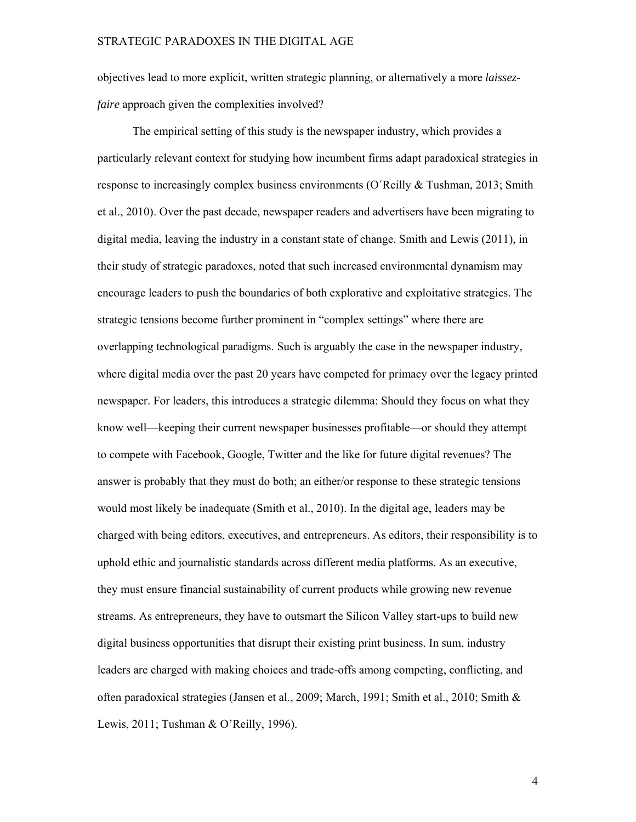objectives lead to more explicit, written strategic planning, or alternatively a more *laissezfaire* approach given the complexities involved?

The empirical setting of this study is the newspaper industry, which provides a particularly relevant context for studying how incumbent firms adapt paradoxical strategies in response to increasingly complex business environments (O'Reilly & Tushman, 2013; Smith et al., 2010). Over the past decade, newspaper readers and advertisers have been migrating to digital media, leaving the industry in a constant state of change. Smith and Lewis (2011), in their study of strategic paradoxes, noted that such increased environmental dynamism may encourage leaders to push the boundaries of both explorative and exploitative strategies. The strategic tensions become further prominent in "complex settings" where there are overlapping technological paradigms. Such is arguably the case in the newspaper industry, where digital media over the past 20 years have competed for primacy over the legacy printed newspaper. For leaders, this introduces a strategic dilemma: Should they focus on what they know well—keeping their current newspaper businesses profitable—or should they attempt to compete with Facebook, Google, Twitter and the like for future digital revenues? The answer is probably that they must do both; an either/or response to these strategic tensions would most likely be inadequate (Smith et al., 2010). In the digital age, leaders may be charged with being editors, executives, and entrepreneurs. As editors, their responsibility is to uphold ethic and journalistic standards across different media platforms. As an executive, they must ensure financial sustainability of current products while growing new revenue streams. As entrepreneurs, they have to outsmart the Silicon Valley start-ups to build new digital business opportunities that disrupt their existing print business. In sum, industry leaders are charged with making choices and trade-offs among competing, conflicting, and often paradoxical strategies (Jansen et al., 2009; March, 1991; Smith et al., 2010; Smith & Lewis, 2011; Tushman & O'Reilly, 1996).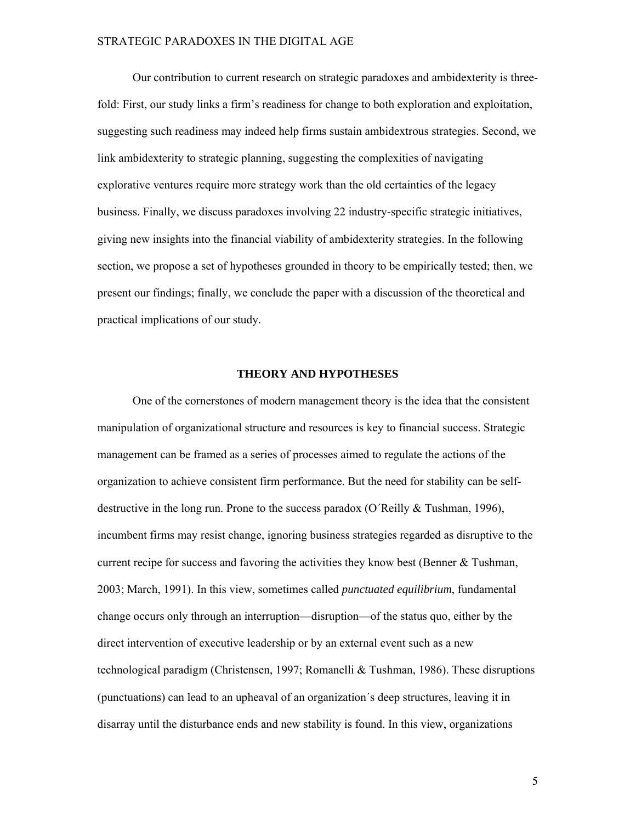Our contribution to current research on strategic paradoxes and ambidexterity is threefold: First, our study links a firm's readiness for change to both exploration and exploitation, suggesting such readiness may indeed help firms sustain ambidextrous strategies. Second, we link ambidexterity to strategic planning, suggesting the complexities of navigating explorative ventures require more strategy work than the old certainties of the legacy business. Finally, we discuss paradoxes involving 22 industry-specific strategic initiatives, giving new insights into the financial viability of ambidexterity strategies. In the following section, we propose a set of hypotheses grounded in theory to be empirically tested; then, we present our findings; finally, we conclude the paper with a discussion of the theoretical and practical implications of our study.

## **THEORY AND HYPOTHESES**

One of the cornerstones of modern management theory is the idea that the consistent manipulation of organizational structure and resources is key to financial success. Strategic management can be framed as a series of processes aimed to regulate the actions of the organization to achieve consistent firm performance. But the need for stability can be selfdestructive in the long run. Prone to the success paradox (O'Reilly & Tushman, 1996), incumbent firms may resist change, ignoring business strategies regarded as disruptive to the current recipe for success and favoring the activities they know best (Benner & Tushman, 2003; March, 1991). In this view, sometimes called *punctuated equilibrium*, fundamental change occurs only through an interruption—disruption—of the status quo, either by the direct intervention of executive leadership or by an external event such as a new technological paradigm (Christensen, 1997; Romanelli & Tushman, 1986). These disruptions (punctuations) can lead to an upheaval of an organization´s deep structures, leaving it in disarray until the disturbance ends and new stability is found. In this view, organizations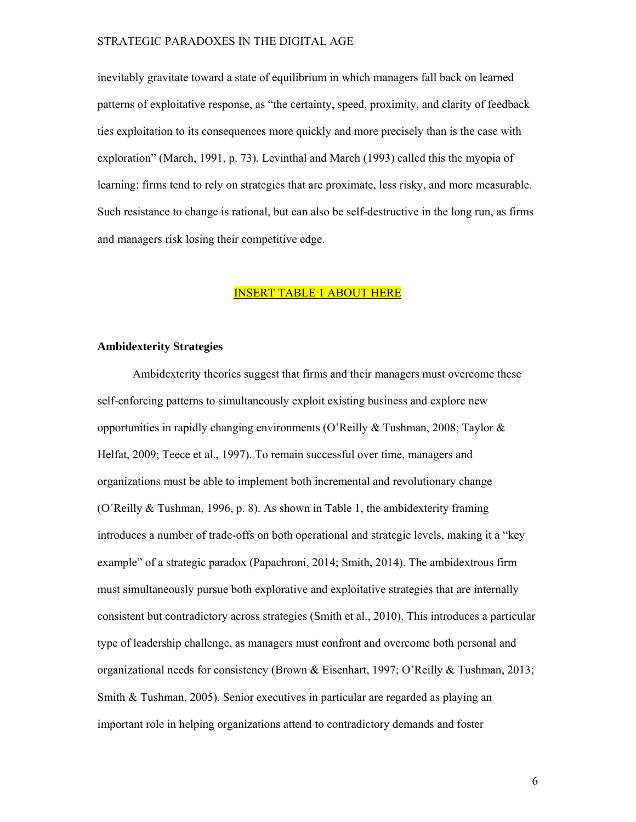inevitably gravitate toward a state of equilibrium in which managers fall back on learned patterns of exploitative response, as "the certainty, speed, proximity, and clarity of feedback ties exploitation to its consequences more quickly and more precisely than is the case with exploration" (March, 1991, p. 73). Levinthal and March (1993) called this the myopia of learning: firms tend to rely on strategies that are proximate, less risky, and more measurable. Such resistance to change is rational, but can also be self-destructive in the long run, as firms and managers risk losing their competitive edge.

# INSERT TABLE 1 ABOUT HERE

#### **Ambidexterity Strategies**

Ambidexterity theories suggest that firms and their managers must overcome these self-enforcing patterns to simultaneously exploit existing business and explore new opportunities in rapidly changing environments (O'Reilly & Tushman, 2008; Taylor & Helfat, 2009; Teece et al., 1997). To remain successful over time, managers and organizations must be able to implement both incremental and revolutionary change (O´Reilly & Tushman, 1996, p. 8). As shown in Table 1, the ambidexterity framing introduces a number of trade-offs on both operational and strategic levels, making it a "key example" of a strategic paradox (Papachroni, 2014; Smith, 2014). The ambidextrous firm must simultaneously pursue both explorative and exploitative strategies that are internally consistent but contradictory across strategies (Smith et al., 2010). This introduces a particular type of leadership challenge, as managers must confront and overcome both personal and organizational needs for consistency (Brown & Eisenhart, 1997; O'Reilly & Tushman, 2013; Smith & Tushman, 2005). Senior executives in particular are regarded as playing an important role in helping organizations attend to contradictory demands and foster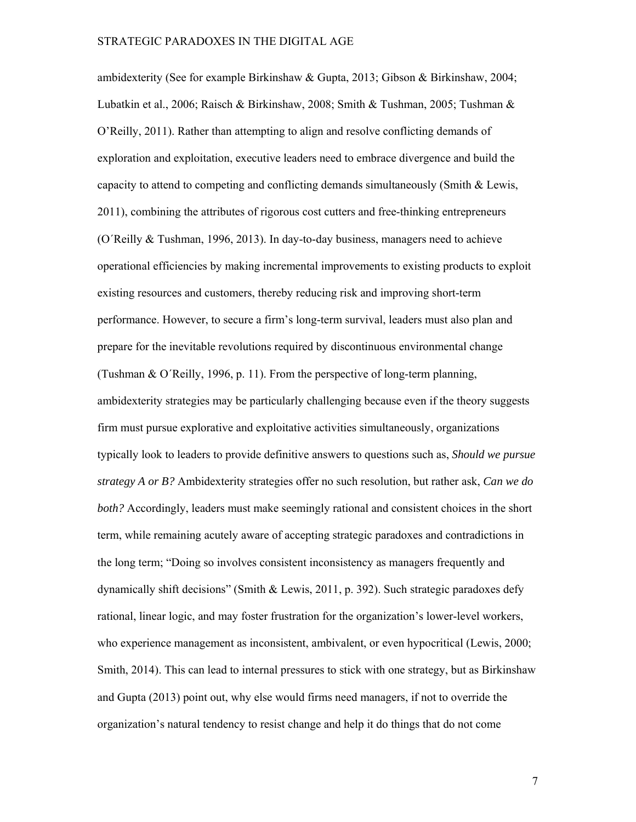ambidexterity (See for example Birkinshaw & Gupta, 2013; Gibson & Birkinshaw, 2004; Lubatkin et al., 2006; Raisch & Birkinshaw, 2008; Smith & Tushman, 2005; Tushman & O'Reilly, 2011). Rather than attempting to align and resolve conflicting demands of exploration and exploitation, executive leaders need to embrace divergence and build the capacity to attend to competing and conflicting demands simultaneously (Smith & Lewis, 2011), combining the attributes of rigorous cost cutters and free-thinking entrepreneurs (O´Reilly & Tushman, 1996, 2013). In day-to-day business, managers need to achieve operational efficiencies by making incremental improvements to existing products to exploit existing resources and customers, thereby reducing risk and improving short-term performance. However, to secure a firm's long-term survival, leaders must also plan and prepare for the inevitable revolutions required by discontinuous environmental change (Tushman & O´Reilly, 1996, p. 11). From the perspective of long-term planning, ambidexterity strategies may be particularly challenging because even if the theory suggests firm must pursue explorative and exploitative activities simultaneously, organizations typically look to leaders to provide definitive answers to questions such as, *Should we pursue strategy A or B?* Ambidexterity strategies offer no such resolution, but rather ask, *Can we do both?* Accordingly, leaders must make seemingly rational and consistent choices in the short term, while remaining acutely aware of accepting strategic paradoxes and contradictions in the long term; "Doing so involves consistent inconsistency as managers frequently and dynamically shift decisions" (Smith & Lewis, 2011, p. 392). Such strategic paradoxes defy rational, linear logic, and may foster frustration for the organization's lower-level workers, who experience management as inconsistent, ambivalent, or even hypocritical (Lewis, 2000; Smith, 2014). This can lead to internal pressures to stick with one strategy, but as Birkinshaw and Gupta (2013) point out, why else would firms need managers, if not to override the organization's natural tendency to resist change and help it do things that do not come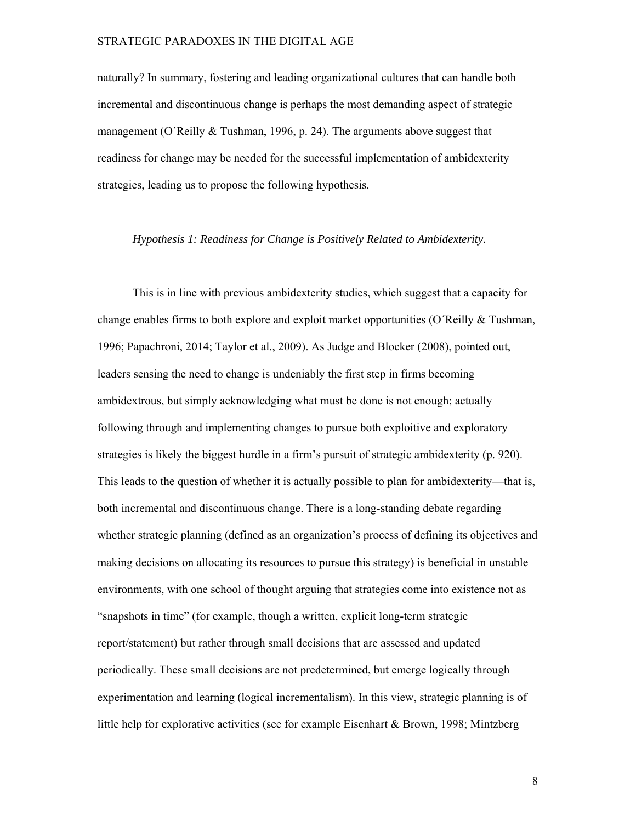naturally? In summary, fostering and leading organizational cultures that can handle both incremental and discontinuous change is perhaps the most demanding aspect of strategic management (O´Reilly  $&$  Tushman, 1996, p. 24). The arguments above suggest that readiness for change may be needed for the successful implementation of ambidexterity strategies, leading us to propose the following hypothesis.

## *Hypothesis 1: Readiness for Change is Positively Related to Ambidexterity.*

This is in line with previous ambidexterity studies, which suggest that a capacity for change enables firms to both explore and exploit market opportunities (O'Reilly  $\&$  Tushman, 1996; Papachroni, 2014; Taylor et al., 2009). As Judge and Blocker (2008), pointed out, leaders sensing the need to change is undeniably the first step in firms becoming ambidextrous, but simply acknowledging what must be done is not enough; actually following through and implementing changes to pursue both exploitive and exploratory strategies is likely the biggest hurdle in a firm's pursuit of strategic ambidexterity (p. 920). This leads to the question of whether it is actually possible to plan for ambidexterity—that is, both incremental and discontinuous change. There is a long-standing debate regarding whether strategic planning (defined as an organization's process of defining its objectives and making decisions on allocating its resources to pursue this strategy) is beneficial in unstable environments, with one school of thought arguing that strategies come into existence not as "snapshots in time" (for example, though a written, explicit long-term strategic report/statement) but rather through small decisions that are assessed and updated periodically. These small decisions are not predetermined, but emerge logically through experimentation and learning (logical incrementalism). In this view, strategic planning is of little help for explorative activities (see for example Eisenhart & Brown, 1998; Mintzberg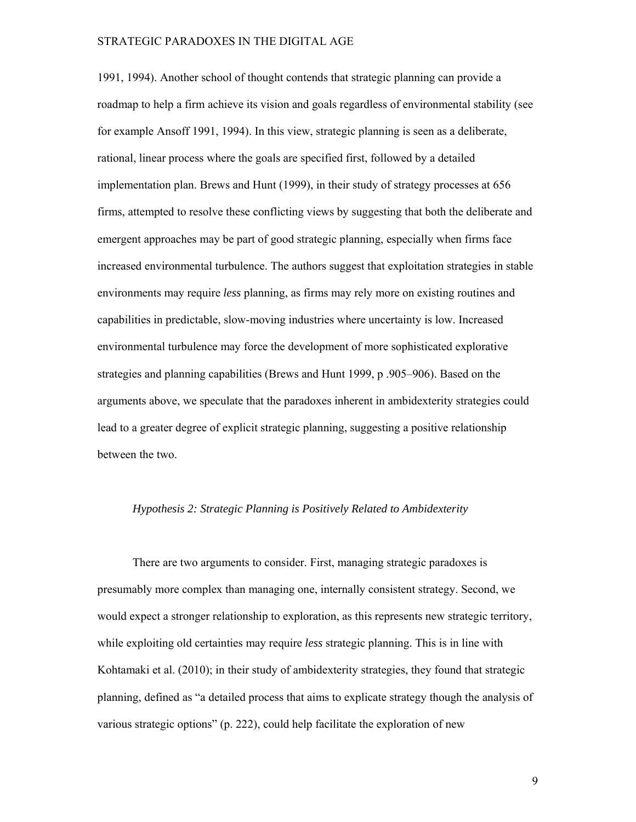1991, 1994). Another school of thought contends that strategic planning can provide a roadmap to help a firm achieve its vision and goals regardless of environmental stability (see for example Ansoff 1991, 1994). In this view, strategic planning is seen as a deliberate, rational, linear process where the goals are specified first, followed by a detailed implementation plan. Brews and Hunt (1999), in their study of strategy processes at 656 firms, attempted to resolve these conflicting views by suggesting that both the deliberate and emergent approaches may be part of good strategic planning, especially when firms face increased environmental turbulence. The authors suggest that exploitation strategies in stable environments may require *less* planning, as firms may rely more on existing routines and capabilities in predictable, slow-moving industries where uncertainty is low. Increased environmental turbulence may force the development of more sophisticated explorative strategies and planning capabilities (Brews and Hunt 1999, p .905–906). Based on the arguments above, we speculate that the paradoxes inherent in ambidexterity strategies could lead to a greater degree of explicit strategic planning, suggesting a positive relationship between the two.

## *Hypothesis 2: Strategic Planning is Positively Related to Ambidexterity*

There are two arguments to consider. First, managing strategic paradoxes is presumably more complex than managing one, internally consistent strategy. Second, we would expect a stronger relationship to exploration, as this represents new strategic territory, while exploiting old certainties may require *less* strategic planning. This is in line with Kohtamaki et al. (2010); in their study of ambidexterity strategies, they found that strategic planning, defined as "a detailed process that aims to explicate strategy though the analysis of various strategic options" (p. 222), could help facilitate the exploration of new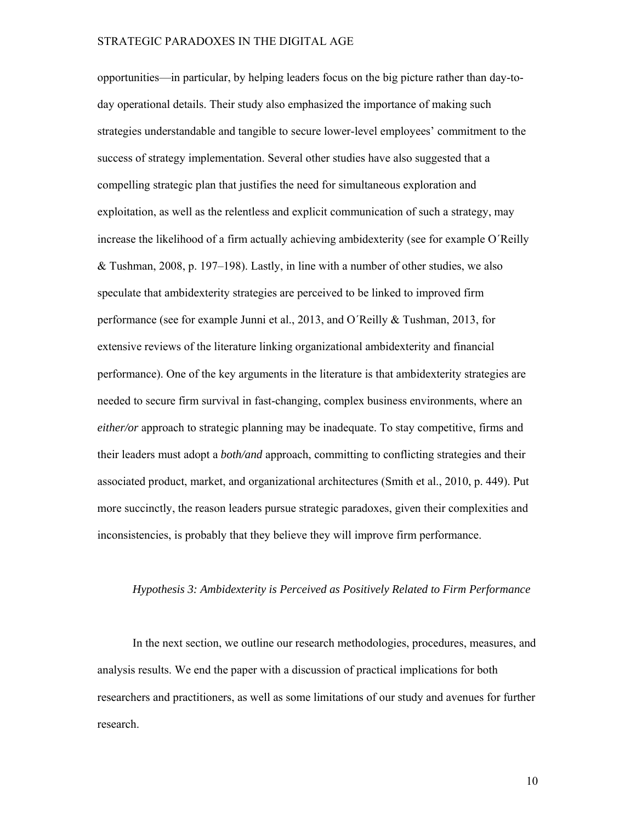opportunities—in particular, by helping leaders focus on the big picture rather than day-today operational details. Their study also emphasized the importance of making such strategies understandable and tangible to secure lower-level employees' commitment to the success of strategy implementation. Several other studies have also suggested that a compelling strategic plan that justifies the need for simultaneous exploration and exploitation, as well as the relentless and explicit communication of such a strategy, may increase the likelihood of a firm actually achieving ambidexterity (see for example O´Reilly & Tushman, 2008, p. 197–198). Lastly, in line with a number of other studies, we also speculate that ambidexterity strategies are perceived to be linked to improved firm performance (see for example Junni et al., 2013, and O´Reilly & Tushman, 2013, for extensive reviews of the literature linking organizational ambidexterity and financial performance). One of the key arguments in the literature is that ambidexterity strategies are needed to secure firm survival in fast-changing, complex business environments, where an *either/or* approach to strategic planning may be inadequate. To stay competitive, firms and their leaders must adopt a *both/and* approach, committing to conflicting strategies and their associated product, market, and organizational architectures (Smith et al., 2010, p. 449). Put more succinctly, the reason leaders pursue strategic paradoxes, given their complexities and inconsistencies, is probably that they believe they will improve firm performance.

#### *Hypothesis 3: Ambidexterity is Perceived as Positively Related to Firm Performance*

In the next section, we outline our research methodologies, procedures, measures, and analysis results. We end the paper with a discussion of practical implications for both researchers and practitioners, as well as some limitations of our study and avenues for further research.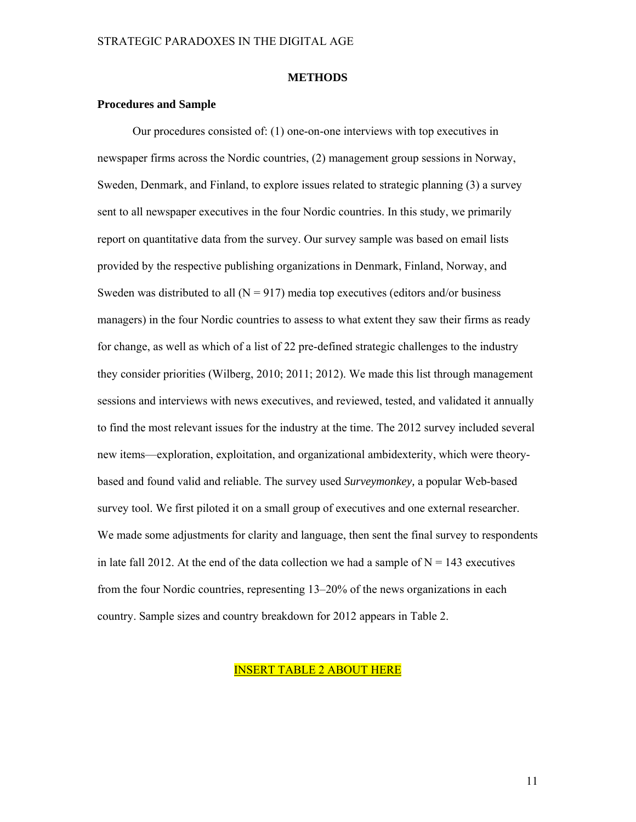#### **METHODS**

#### **Procedures and Sample**

Our procedures consisted of: (1) one-on-one interviews with top executives in newspaper firms across the Nordic countries, (2) management group sessions in Norway, Sweden, Denmark, and Finland, to explore issues related to strategic planning (3) a survey sent to all newspaper executives in the four Nordic countries. In this study, we primarily report on quantitative data from the survey. Our survey sample was based on email lists provided by the respective publishing organizations in Denmark, Finland, Norway, and Sweden was distributed to all  $(N = 917)$  media top executives (editors and/or business managers) in the four Nordic countries to assess to what extent they saw their firms as ready for change, as well as which of a list of 22 pre-defined strategic challenges to the industry they consider priorities (Wilberg, 2010; 2011; 2012). We made this list through management sessions and interviews with news executives, and reviewed, tested, and validated it annually to find the most relevant issues for the industry at the time. The 2012 survey included several new items—exploration, exploitation, and organizational ambidexterity, which were theorybased and found valid and reliable. The survey used *Surveymonkey,* a popular Web-based survey tool. We first piloted it on a small group of executives and one external researcher. We made some adjustments for clarity and language, then sent the final survey to respondents in late fall 2012. At the end of the data collection we had a sample of  $N = 143$  executives from the four Nordic countries, representing 13–20% of the news organizations in each country. Sample sizes and country breakdown for 2012 appears in Table 2.

# INSERT TABLE 2 ABOUT HERE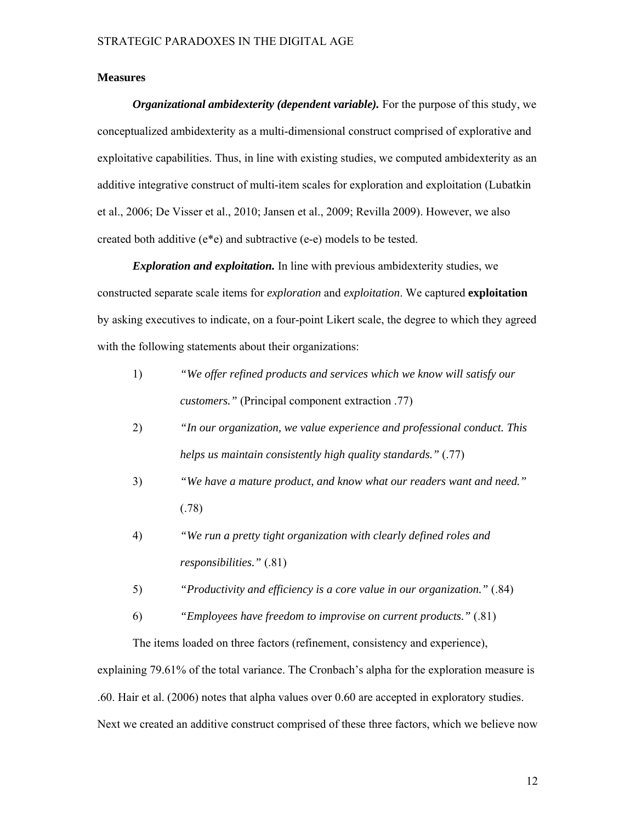#### **Measures**

*Organizational ambidexterity (dependent variable).* For the purpose of this study, we conceptualized ambidexterity as a multi-dimensional construct comprised of explorative and exploitative capabilities. Thus, in line with existing studies, we computed ambidexterity as an additive integrative construct of multi-item scales for exploration and exploitation (Lubatkin et al., 2006; De Visser et al., 2010; Jansen et al., 2009; Revilla 2009). However, we also created both additive (e\*e) and subtractive (e-e) models to be tested.

*Exploration and exploitation.* In line with previous ambidexterity studies, we constructed separate scale items for *exploration* and *exploitation*. We captured **exploitation**  by asking executives to indicate, on a four-point Likert scale, the degree to which they agreed with the following statements about their organizations:

- 1) *"We offer refined products and services which we know will satisfy our customers."* (Principal component extraction .77)
- 2) *"In our organization, we value experience and professional conduct. This helps us maintain consistently high quality standards."* (.77)
- 3) *"We have a mature product, and know what our readers want and need."*  (.78)
- 4) *"We run a pretty tight organization with clearly defined roles and responsibilities."* (.81)
- 5) *"Productivity and efficiency is a core value in our organization."* (.84)
- 6) *"Employees have freedom to improvise on current products."* (.81)

The items loaded on three factors (refinement, consistency and experience),

explaining 79.61% of the total variance. The Cronbach's alpha for the exploration measure is .60. Hair et al. (2006) notes that alpha values over 0.60 are accepted in exploratory studies. Next we created an additive construct comprised of these three factors, which we believe now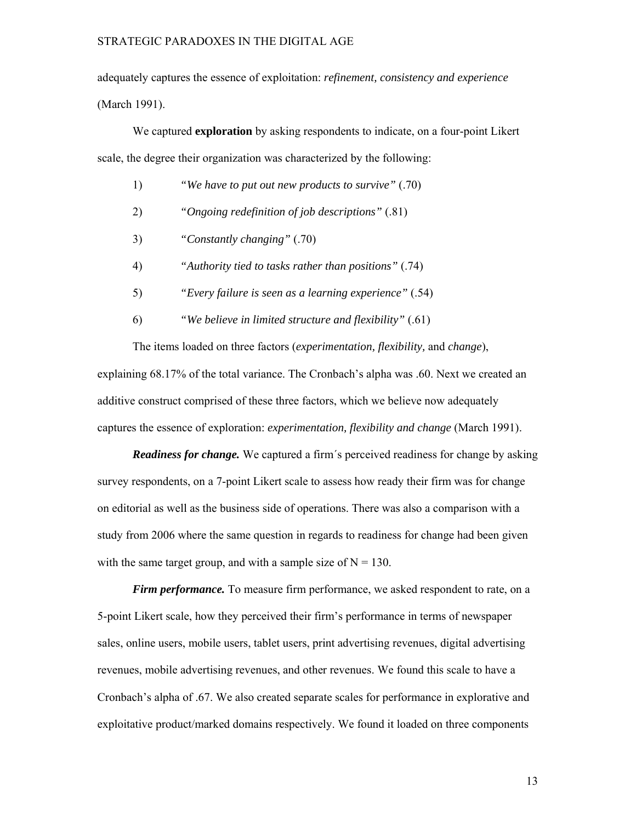adequately captures the essence of exploitation: *refinement, consistency and experience* (March 1991).

We captured **exploration** by asking respondents to indicate, on a four-point Likert scale, the degree their organization was characterized by the following:

- 1) *"We have to put out new products to survive"* (.70)
- 2) *"Ongoing redefinition of job descriptions"* (.81)
- 3) *"Constantly changing"* (.70)
- 4) *"Authority tied to tasks rather than positions"* (.74)
- 5) *"Every failure is seen as a learning experience"* (.54)
- 6) *"We believe in limited structure and flexibility"* (.61)

The items loaded on three factors (*experimentation, flexibility,* and *change*), explaining 68.17% of the total variance. The Cronbach's alpha was .60. Next we created an additive construct comprised of these three factors, which we believe now adequately captures the essence of exploration: *experimentation, flexibility and change* (March 1991).

*Readiness for change.* We captured a firm´s perceived readiness for change by asking survey respondents, on a 7-point Likert scale to assess how ready their firm was for change on editorial as well as the business side of operations. There was also a comparison with a study from 2006 where the same question in regards to readiness for change had been given with the same target group, and with a sample size of  $N = 130$ .

*Firm performance*. To measure firm performance, we asked respondent to rate, on a 5-point Likert scale, how they perceived their firm's performance in terms of newspaper sales, online users, mobile users, tablet users, print advertising revenues, digital advertising revenues, mobile advertising revenues, and other revenues. We found this scale to have a Cronbach's alpha of .67. We also created separate scales for performance in explorative and exploitative product/marked domains respectively. We found it loaded on three components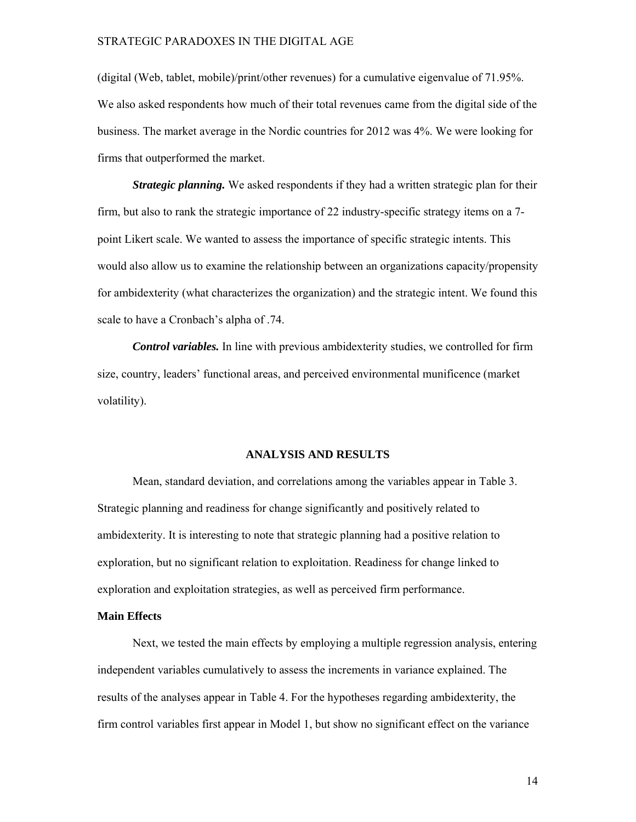(digital (Web, tablet, mobile)/print/other revenues) for a cumulative eigenvalue of 71.95%. We also asked respondents how much of their total revenues came from the digital side of the business. The market average in the Nordic countries for 2012 was 4%. We were looking for firms that outperformed the market.

*Strategic planning.* We asked respondents if they had a written strategic plan for their firm, but also to rank the strategic importance of 22 industry-specific strategy items on a 7 point Likert scale. We wanted to assess the importance of specific strategic intents. This would also allow us to examine the relationship between an organizations capacity/propensity for ambidexterity (what characterizes the organization) and the strategic intent. We found this scale to have a Cronbach's alpha of .74.

*Control variables.* In line with previous ambidexterity studies, we controlled for firm size, country, leaders' functional areas, and perceived environmental munificence (market volatility).

#### **ANALYSIS AND RESULTS**

Mean, standard deviation, and correlations among the variables appear in Table 3. Strategic planning and readiness for change significantly and positively related to ambidexterity. It is interesting to note that strategic planning had a positive relation to exploration, but no significant relation to exploitation. Readiness for change linked to exploration and exploitation strategies, as well as perceived firm performance.

## **Main Effects**

Next, we tested the main effects by employing a multiple regression analysis, entering independent variables cumulatively to assess the increments in variance explained. The results of the analyses appear in Table 4. For the hypotheses regarding ambidexterity, the firm control variables first appear in Model 1, but show no significant effect on the variance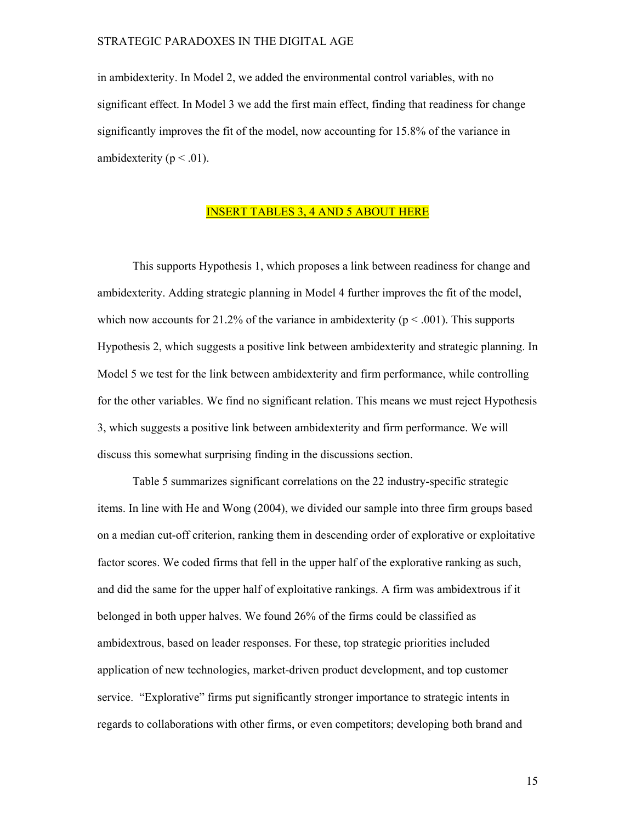in ambidexterity. In Model 2, we added the environmental control variables, with no significant effect. In Model 3 we add the first main effect, finding that readiness for change significantly improves the fit of the model, now accounting for 15.8% of the variance in ambidexterity ( $p < .01$ ).

# INSERT TABLES 3, 4 AND 5 ABOUT HERE

This supports Hypothesis 1, which proposes a link between readiness for change and ambidexterity. Adding strategic planning in Model 4 further improves the fit of the model, which now accounts for 21.2% of the variance in ambidexterity ( $p < .001$ ). This supports Hypothesis 2, which suggests a positive link between ambidexterity and strategic planning. In Model 5 we test for the link between ambidexterity and firm performance, while controlling for the other variables. We find no significant relation. This means we must reject Hypothesis 3, which suggests a positive link between ambidexterity and firm performance. We will discuss this somewhat surprising finding in the discussions section.

 Table 5 summarizes significant correlations on the 22 industry-specific strategic items. In line with He and Wong (2004), we divided our sample into three firm groups based on a median cut-off criterion, ranking them in descending order of explorative or exploitative factor scores. We coded firms that fell in the upper half of the explorative ranking as such, and did the same for the upper half of exploitative rankings. A firm was ambidextrous if it belonged in both upper halves. We found 26% of the firms could be classified as ambidextrous, based on leader responses. For these, top strategic priorities included application of new technologies, market-driven product development, and top customer service. "Explorative" firms put significantly stronger importance to strategic intents in regards to collaborations with other firms, or even competitors; developing both brand and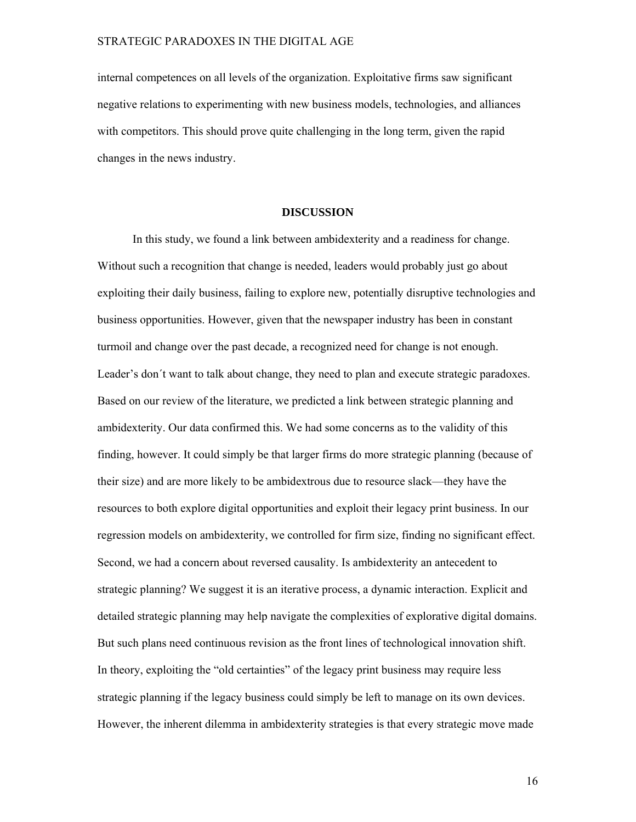internal competences on all levels of the organization. Exploitative firms saw significant negative relations to experimenting with new business models, technologies, and alliances with competitors. This should prove quite challenging in the long term, given the rapid changes in the news industry.

#### **DISCUSSION**

In this study, we found a link between ambidexterity and a readiness for change. Without such a recognition that change is needed, leaders would probably just go about exploiting their daily business, failing to explore new, potentially disruptive technologies and business opportunities. However, given that the newspaper industry has been in constant turmoil and change over the past decade, a recognized need for change is not enough. Leader's don't want to talk about change, they need to plan and execute strategic paradoxes. Based on our review of the literature, we predicted a link between strategic planning and ambidexterity. Our data confirmed this. We had some concerns as to the validity of this finding, however. It could simply be that larger firms do more strategic planning (because of their size) and are more likely to be ambidextrous due to resource slack—they have the resources to both explore digital opportunities and exploit their legacy print business. In our regression models on ambidexterity, we controlled for firm size, finding no significant effect. Second, we had a concern about reversed causality. Is ambidexterity an antecedent to strategic planning? We suggest it is an iterative process, a dynamic interaction. Explicit and detailed strategic planning may help navigate the complexities of explorative digital domains. But such plans need continuous revision as the front lines of technological innovation shift. In theory, exploiting the "old certainties" of the legacy print business may require less strategic planning if the legacy business could simply be left to manage on its own devices. However, the inherent dilemma in ambidexterity strategies is that every strategic move made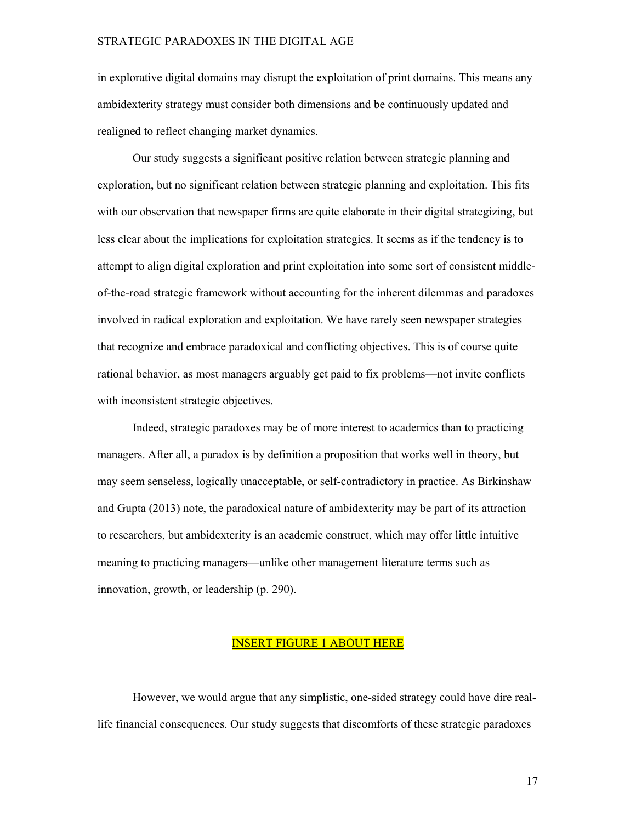in explorative digital domains may disrupt the exploitation of print domains. This means any ambidexterity strategy must consider both dimensions and be continuously updated and realigned to reflect changing market dynamics.

 Our study suggests a significant positive relation between strategic planning and exploration, but no significant relation between strategic planning and exploitation. This fits with our observation that newspaper firms are quite elaborate in their digital strategizing, but less clear about the implications for exploitation strategies. It seems as if the tendency is to attempt to align digital exploration and print exploitation into some sort of consistent middleof-the-road strategic framework without accounting for the inherent dilemmas and paradoxes involved in radical exploration and exploitation. We have rarely seen newspaper strategies that recognize and embrace paradoxical and conflicting objectives. This is of course quite rational behavior, as most managers arguably get paid to fix problems—not invite conflicts with inconsistent strategic objectives.

 Indeed, strategic paradoxes may be of more interest to academics than to practicing managers. After all, a paradox is by definition a proposition that works well in theory, but may seem senseless, logically unacceptable, or self-contradictory in practice. As Birkinshaw and Gupta (2013) note, the paradoxical nature of ambidexterity may be part of its attraction to researchers, but ambidexterity is an academic construct, which may offer little intuitive meaning to practicing managers—unlike other management literature terms such as innovation, growth, or leadership (p. 290).

## INSERT FIGURE 1 ABOUT HERE

 However, we would argue that any simplistic, one-sided strategy could have dire reallife financial consequences. Our study suggests that discomforts of these strategic paradoxes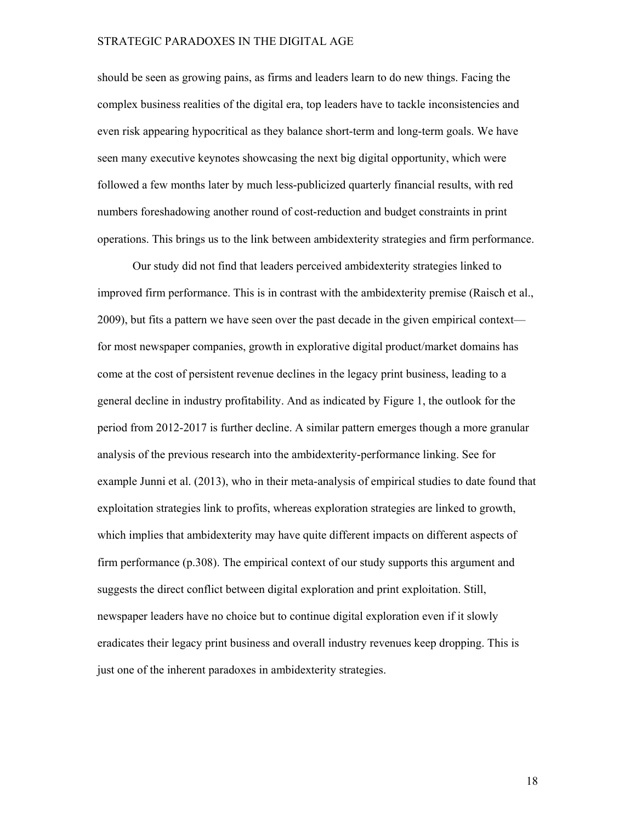should be seen as growing pains, as firms and leaders learn to do new things. Facing the complex business realities of the digital era, top leaders have to tackle inconsistencies and even risk appearing hypocritical as they balance short-term and long-term goals. We have seen many executive keynotes showcasing the next big digital opportunity, which were followed a few months later by much less-publicized quarterly financial results, with red numbers foreshadowing another round of cost-reduction and budget constraints in print operations. This brings us to the link between ambidexterity strategies and firm performance.

Our study did not find that leaders perceived ambidexterity strategies linked to improved firm performance. This is in contrast with the ambidexterity premise (Raisch et al., 2009), but fits a pattern we have seen over the past decade in the given empirical context for most newspaper companies, growth in explorative digital product/market domains has come at the cost of persistent revenue declines in the legacy print business, leading to a general decline in industry profitability. And as indicated by Figure 1, the outlook for the period from 2012-2017 is further decline. A similar pattern emerges though a more granular analysis of the previous research into the ambidexterity-performance linking. See for example Junni et al. (2013), who in their meta-analysis of empirical studies to date found that exploitation strategies link to profits, whereas exploration strategies are linked to growth, which implies that ambidexterity may have quite different impacts on different aspects of firm performance (p.308). The empirical context of our study supports this argument and suggests the direct conflict between digital exploration and print exploitation. Still, newspaper leaders have no choice but to continue digital exploration even if it slowly eradicates their legacy print business and overall industry revenues keep dropping. This is just one of the inherent paradoxes in ambidexterity strategies.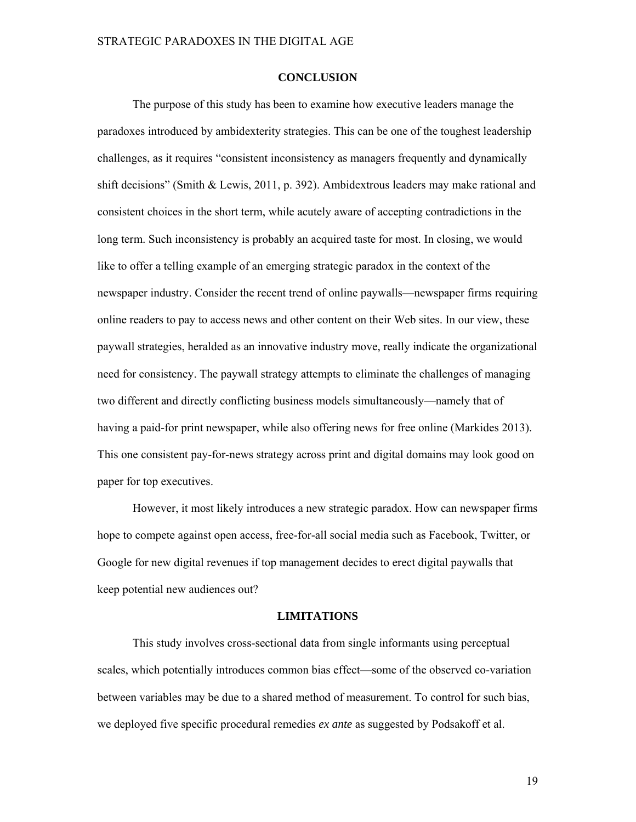#### **CONCLUSION**

The purpose of this study has been to examine how executive leaders manage the paradoxes introduced by ambidexterity strategies. This can be one of the toughest leadership challenges, as it requires "consistent inconsistency as managers frequently and dynamically shift decisions" (Smith & Lewis, 2011, p. 392). Ambidextrous leaders may make rational and consistent choices in the short term, while acutely aware of accepting contradictions in the long term. Such inconsistency is probably an acquired taste for most. In closing, we would like to offer a telling example of an emerging strategic paradox in the context of the newspaper industry. Consider the recent trend of online paywalls—newspaper firms requiring online readers to pay to access news and other content on their Web sites. In our view, these paywall strategies, heralded as an innovative industry move, really indicate the organizational need for consistency. The paywall strategy attempts to eliminate the challenges of managing two different and directly conflicting business models simultaneously—namely that of having a paid-for print newspaper, while also offering news for free online (Markides 2013). This one consistent pay-for-news strategy across print and digital domains may look good on paper for top executives.

However, it most likely introduces a new strategic paradox. How can newspaper firms hope to compete against open access, free-for-all social media such as Facebook, Twitter, or Google for new digital revenues if top management decides to erect digital paywalls that keep potential new audiences out?

## **LIMITATIONS**

This study involves cross-sectional data from single informants using perceptual scales, which potentially introduces common bias effect—some of the observed co-variation between variables may be due to a shared method of measurement. To control for such bias, we deployed five specific procedural remedies *ex ante* as suggested by Podsakoff et al.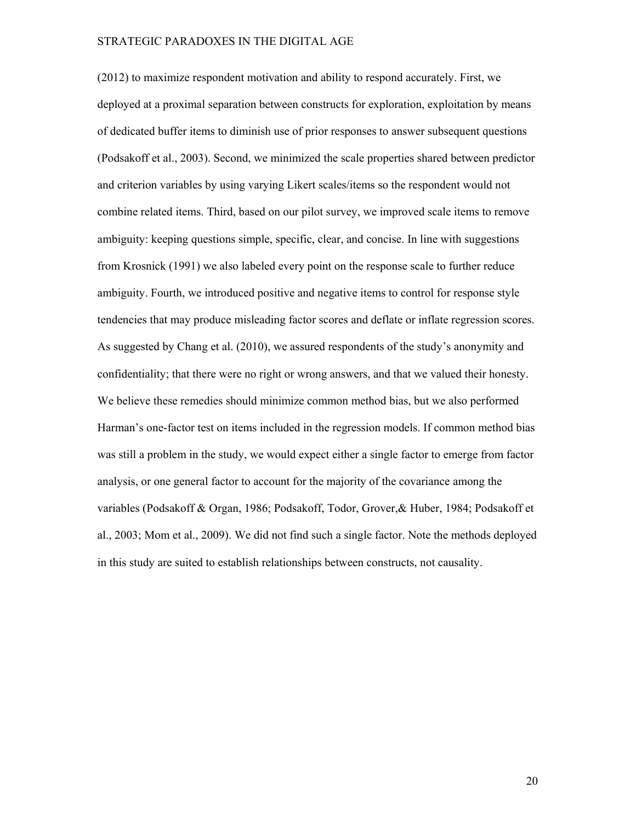(2012) to maximize respondent motivation and ability to respond accurately. First, we deployed at a proximal separation between constructs for exploration, exploitation by means of dedicated buffer items to diminish use of prior responses to answer subsequent questions (Podsakoff et al., 2003). Second, we minimized the scale properties shared between predictor and criterion variables by using varying Likert scales/items so the respondent would not combine related items. Third, based on our pilot survey, we improved scale items to remove ambiguity: keeping questions simple, specific, clear, and concise. In line with suggestions from Krosnick (1991) we also labeled every point on the response scale to further reduce ambiguity. Fourth, we introduced positive and negative items to control for response style tendencies that may produce misleading factor scores and deflate or inflate regression scores. As suggested by Chang et al. (2010), we assured respondents of the study's anonymity and confidentiality; that there were no right or wrong answers, and that we valued their honesty. We believe these remedies should minimize common method bias, but we also performed Harman's one-factor test on items included in the regression models. If common method bias was still a problem in the study, we would expect either a single factor to emerge from factor analysis, or one general factor to account for the majority of the covariance among the variables (Podsakoff & Organ, 1986; Podsakoff, Todor, Grover,& Huber, 1984; Podsakoff et al., 2003; Mom et al., 2009). We did not find such a single factor. Note the methods deployed in this study are suited to establish relationships between constructs, not causality.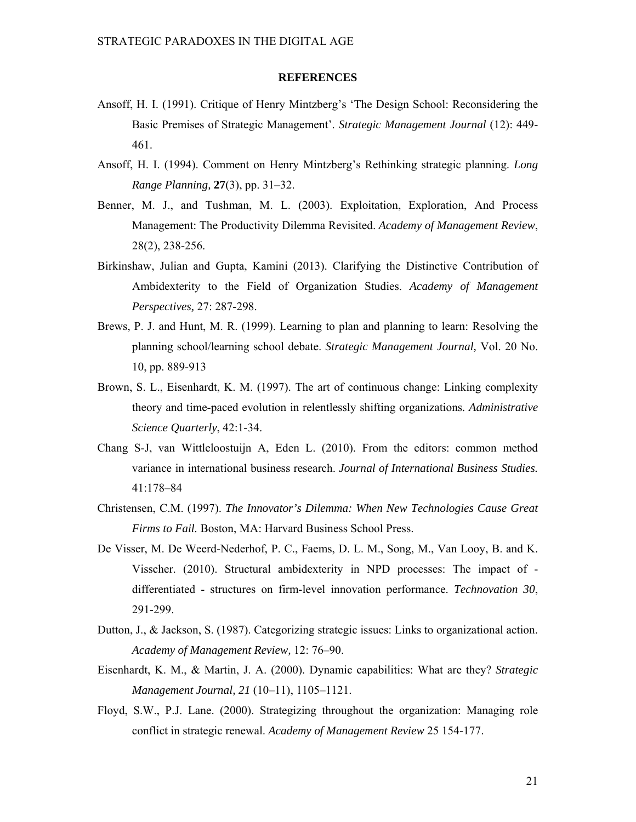#### **REFERENCES**

- Ansoff, H. I. (1991). Critique of Henry Mintzberg's 'The Design School: Reconsidering the Basic Premises of Strategic Management'. *Strategic Management Journal* (12): 449- 461.
- Ansoff, H. I. (1994). Comment on Henry Mintzberg's Rethinking strategic planning. *Long Range Planning,* **27**(3), pp. 31–32.
- Benner, M. J., and Tushman, M. L. (2003). Exploitation, Exploration, And Process Management: The Productivity Dilemma Revisited. *Academy of Management Review*, 28(2), 238-256.
- Birkinshaw, Julian and Gupta, Kamini (2013). Clarifying the Distinctive Contribution of Ambidexterity to the Field of Organization Studies. *Academy of Management Perspectives,* 27: 287-298.
- Brews, P. J. and Hunt, M. R. (1999). Learning to plan and planning to learn: Resolving the planning school/learning school debate. *Strategic Management Journal,* Vol. 20 No. 10, pp. 889-913
- Brown, S. L., Eisenhardt, K. M. (1997). The art of continuous change: Linking complexity theory and time-paced evolution in relentlessly shifting organizations*. Administrative Science Quarterly*, 42:1-34.
- Chang S-J, van Wittleloostuijn A, Eden L. (2010). From the editors: common method variance in international business research. *Journal of International Business Studies.*  41:178–84
- Christensen, C.M. (1997). *The Innovator's Dilemma: When New Technologies Cause Great Firms to Fail.* Boston, MA: Harvard Business School Press.
- De Visser, M. De Weerd-Nederhof, P. C., Faems, D. L. M., Song, M., Van Looy, B. and K. Visscher. (2010). Structural ambidexterity in NPD processes: The impact of differentiated - structures on firm-level innovation performance. *Technovation 30*, 291-299.
- Dutton, J., & Jackson, S. (1987). Categorizing strategic issues: Links to organizational action. *Academy of Management Review,* 12: 76–90.
- Eisenhardt, K. M., & Martin, J. A. (2000). Dynamic capabilities: What are they? *Strategic Management Journal, 21* (10–11), 1105–1121.
- Floyd, S.W., P.J. Lane. (2000). Strategizing throughout the organization: Managing role conflict in strategic renewal. *Academy of Management Review* 25 154-177.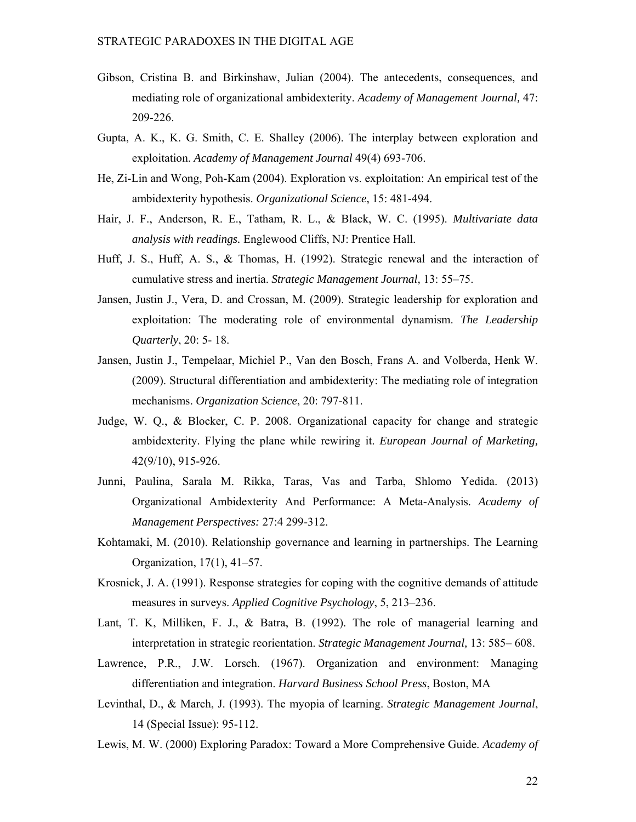- Gibson, Cristina B. and Birkinshaw, Julian (2004). The antecedents, consequences, and mediating role of organizational ambidexterity. *Academy of Management Journal,* 47: 209-226.
- Gupta, A. K., K. G. Smith, C. E. Shalley (2006). The interplay between exploration and exploitation. *Academy of Management Journal* 49(4) 693-706.
- He, Zi-Lin and Wong, Poh-Kam (2004). Exploration vs. exploitation: An empirical test of the ambidexterity hypothesis. *Organizational Science*, 15: 481-494.
- Hair, J. F., Anderson, R. E., Tatham, R. L., & Black, W. C. (1995). *Multivariate data analysis with readings.* Englewood Cliffs, NJ: Prentice Hall.
- Huff, J. S., Huff, A. S., & Thomas, H. (1992). Strategic renewal and the interaction of cumulative stress and inertia. *Strategic Management Journal,* 13: 55–75.
- Jansen, Justin J., Vera, D. and Crossan, M. (2009). Strategic leadership for exploration and exploitation: The moderating role of environmental dynamism. *The Leadership Quarterly*, 20: 5- 18.
- Jansen, Justin J., Tempelaar, Michiel P., Van den Bosch, Frans A. and Volberda, Henk W. (2009). Structural differentiation and ambidexterity: The mediating role of integration mechanisms. *Organization Science*, 20: 797-811.
- Judge, W. Q., & Blocker, C. P. 2008. Organizational capacity for change and strategic ambidexterity. Flying the plane while rewiring it. *European Journal of Marketing,* 42(9/10), 915-926.
- Junni, Paulina, Sarala M. Rikka, Taras, Vas and Tarba, Shlomo Yedida. (2013) Organizational Ambidexterity And Performance: A Meta-Analysis. *Academy of Management Perspectives:* 27:4 299-312.
- Kohtamaki, M. (2010). Relationship governance and learning in partnerships. The Learning Organization, 17(1), 41–57.
- Krosnick, J. A. (1991). Response strategies for coping with the cognitive demands of attitude measures in surveys. *Applied Cognitive Psychology*, 5, 213–236.
- Lant, T. K, Milliken, F. J., & Batra, B. (1992). The role of managerial learning and interpretation in strategic reorientation. *Strategic Management Journal,* 13: 585– 608.
- Lawrence, P.R., J.W. Lorsch. (1967). Organization and environment: Managing differentiation and integration. *Harvard Business School Press*, Boston, MA
- Levinthal, D., & March, J. (1993). The myopia of learning. *Strategic Management Journal*, 14 (Special Issue): 95-112.
- Lewis, M. W. (2000) Exploring Paradox: Toward a More Comprehensive Guide. *Academy of*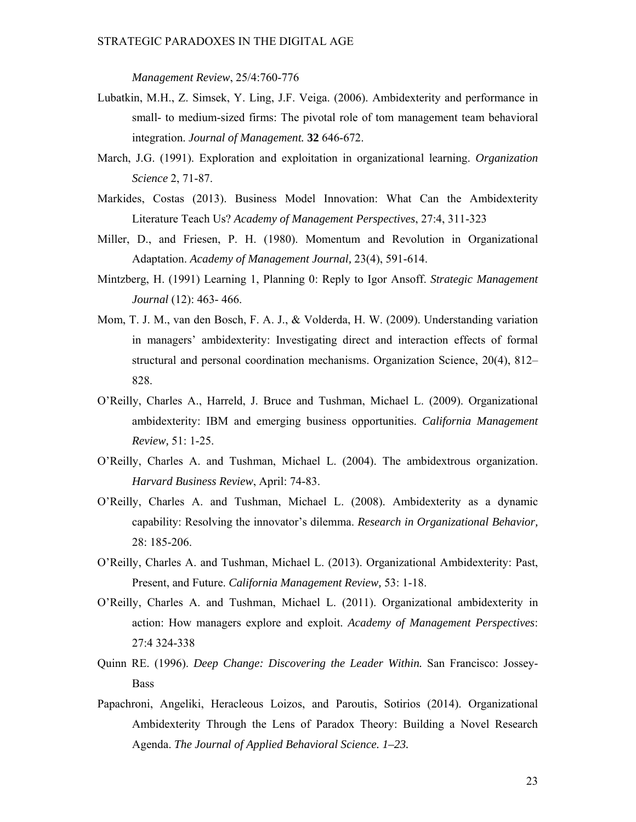*Management Review*, 25/4:760-776

- Lubatkin, M.H., Z. Simsek, Y. Ling, J.F. Veiga. (2006). Ambidexterity and performance in small- to medium-sized firms: The pivotal role of tom management team behavioral integration. *Journal of Management.* **32** 646-672.
- March, J.G. (1991). Exploration and exploitation in organizational learning. *Organization Science* 2, 71-87.
- Markides, Costas (2013). Business Model Innovation: What Can the Ambidexterity Literature Teach Us? *Academy of Management Perspectives*, 27:4, 311-323
- Miller, D., and Friesen, P. H. (1980). Momentum and Revolution in Organizational Adaptation. *Academy of Management Journal,* 23(4), 591-614.
- Mintzberg, H. (1991) Learning 1, Planning 0: Reply to Igor Ansoff. *Strategic Management Journal* (12): 463- 466.
- Mom, T. J. M., van den Bosch, F. A. J., & Volderda, H. W. (2009). Understanding variation in managers' ambidexterity: Investigating direct and interaction effects of formal structural and personal coordination mechanisms. Organization Science, 20(4), 812– 828.
- O'Reilly, Charles A., Harreld, J. Bruce and Tushman, Michael L. (2009). Organizational ambidexterity: IBM and emerging business opportunities. *California Management Review,* 51: 1-25.
- O'Reilly, Charles A. and Tushman, Michael L. (2004). The ambidextrous organization. *Harvard Business Review*, April: 74-83.
- O'Reilly, Charles A. and Tushman, Michael L. (2008). Ambidexterity as a dynamic capability: Resolving the innovator's dilemma. *Research in Organizational Behavior,* 28: 185-206.
- O'Reilly, Charles A. and Tushman, Michael L. (2013). Organizational Ambidexterity: Past, Present, and Future. *California Management Review,* 53: 1-18.
- O'Reilly, Charles A. and Tushman, Michael L. (2011). Organizational ambidexterity in action: How managers explore and exploit. *Academy of Management Perspectives*: 27:4 324-338
- Quinn RE. (1996). *Deep Change: Discovering the Leader Within.* San Francisco: Jossey-Bass
- Papachroni, Angeliki, Heracleous Loizos, and Paroutis, Sotirios (2014). Organizational Ambidexterity Through the Lens of Paradox Theory: Building a Novel Research Agenda. *The Journal of Applied Behavioral Science. 1–23.*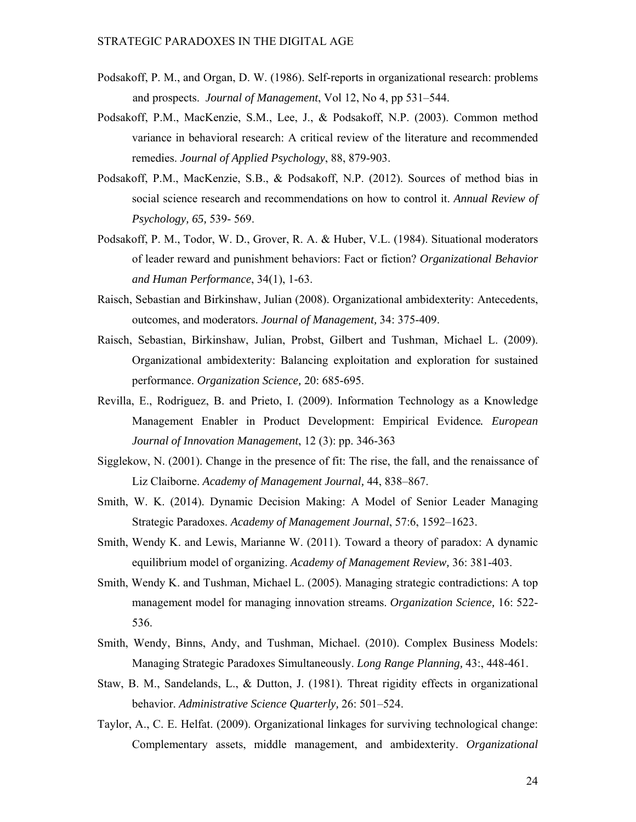- Podsakoff, P. M., and Organ, D. W. (1986). Self-reports in organizational research: problems and prospects. *Journal of Management*, Vol 12, No 4, pp 531–544.
- Podsakoff, P.M., MacKenzie, S.M., Lee, J., & Podsakoff, N.P. (2003). Common method variance in behavioral research: A critical review of the literature and recommended remedies. *Journal of Applied Psychology*, 88, 879-903.
- Podsakoff, P.M., MacKenzie, S.B., & Podsakoff, N.P. (2012). Sources of method bias in social science research and recommendations on how to control it. *Annual Review of Psychology, 65,* 539- 569.
- Podsakoff, P. M., Todor, W. D., Grover, R. A. & Huber, V.L. (1984). Situational moderators of leader reward and punishment behaviors: Fact or fiction? *Organizational Behavior and Human Performance*, 34(1), 1-63.
- Raisch, Sebastian and Birkinshaw, Julian (2008). Organizational ambidexterity: Antecedents, outcomes, and moderators*. Journal of Management,* 34: 375-409.
- Raisch, Sebastian, Birkinshaw, Julian, Probst, Gilbert and Tushman, Michael L. (2009). Organizational ambidexterity: Balancing exploitation and exploration for sustained performance. *Organization Science,* 20: 685-695.
- Revilla, E., Rodriguez, B. and Prieto, I. (2009). Information Technology as a Knowledge Management Enabler in Product Development: Empirical Evidence*. European Journal of Innovation Management*, 12 (3): pp. 346-363
- Sigglekow, N. (2001). Change in the presence of fit: The rise, the fall, and the renaissance of Liz Claiborne. *Academy of Management Journal,* 44, 838–867.
- Smith, W. K. (2014). Dynamic Decision Making: A Model of Senior Leader Managing Strategic Paradoxes. *Academy of Management Journal*, 57:6, 1592–1623.
- Smith, Wendy K. and Lewis, Marianne W. (2011). Toward a theory of paradox: A dynamic equilibrium model of organizing. *Academy of Management Review,* 36: 381-403.
- Smith, Wendy K. and Tushman, Michael L. (2005). Managing strategic contradictions: A top management model for managing innovation streams. *Organization Science,* 16: 522- 536.
- Smith, Wendy, Binns, Andy, and Tushman, Michael. (2010). Complex Business Models: Managing Strategic Paradoxes Simultaneously. *Long Range Planning,* 43:, 448-461.
- Staw, B. M., Sandelands, L., & Dutton, J. (1981). Threat rigidity effects in organizational behavior. *Administrative Science Quarterly,* 26: 501–524.
- Taylor, A., C. E. Helfat. (2009). Organizational linkages for surviving technological change: Complementary assets, middle management, and ambidexterity. *Organizational*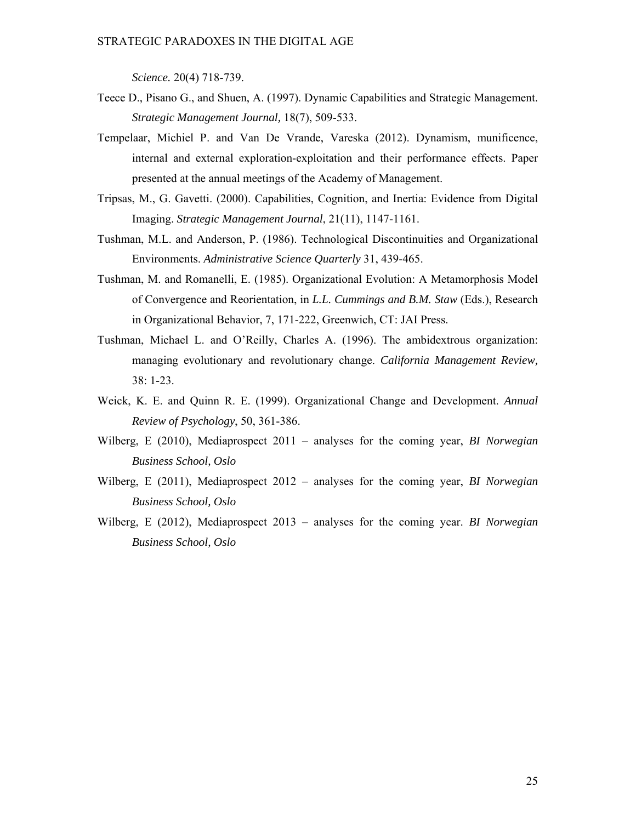*Science.* 20(4) 718-739.

- Teece D., Pisano G., and Shuen, A. (1997). Dynamic Capabilities and Strategic Management. *Strategic Management Journal,* 18(7), 509-533.
- Tempelaar, Michiel P. and Van De Vrande, Vareska (2012). Dynamism, munificence, internal and external exploration-exploitation and their performance effects. Paper presented at the annual meetings of the Academy of Management.
- Tripsas, M., G. Gavetti. (2000). Capabilities, Cognition, and Inertia: Evidence from Digital Imaging. *Strategic Management Journal*, 21(11), 1147-1161.
- Tushman, M.L. and Anderson, P. (1986). Technological Discontinuities and Organizational Environments. *Administrative Science Quarterly* 31, 439-465.
- Tushman, M. and Romanelli, E. (1985). Organizational Evolution: A Metamorphosis Model of Convergence and Reorientation, in *L.L. Cummings and B.M. Staw* (Eds.), Research in Organizational Behavior, 7, 171-222, Greenwich, CT: JAI Press.
- Tushman, Michael L. and O'Reilly, Charles A. (1996). The ambidextrous organization: managing evolutionary and revolutionary change. *California Management Review,* 38: 1-23.
- Weick, K. E. and Quinn R. E. (1999). Organizational Change and Development. *Annual Review of Psychology*, 50, 361-386.
- Wilberg, E (2010), Mediaprospect 2011 analyses for the coming year, *BI Norwegian Business School, Oslo*
- Wilberg, E (2011), Mediaprospect 2012 analyses for the coming year, *BI Norwegian Business School, Oslo*
- Wilberg, E (2012), Mediaprospect 2013 analyses for the coming year. *BI Norwegian Business School, Oslo*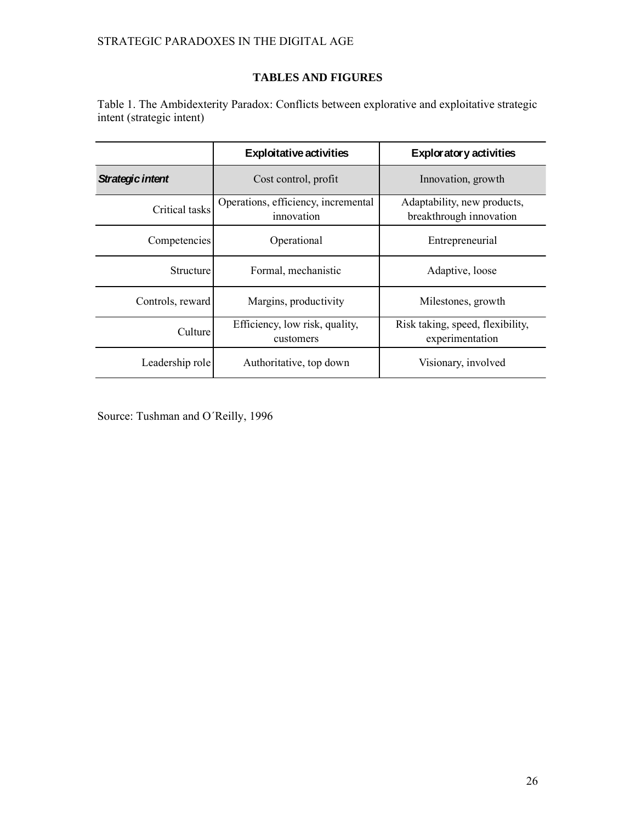# **TABLES AND FIGURES**

Table 1. The Ambidexterity Paradox: Conflicts between explorative and exploitative strategic intent (strategic intent)

|                  | <b>Exploitative activities</b>                    | <b>Exploratory activities</b>                          |  |
|------------------|---------------------------------------------------|--------------------------------------------------------|--|
| Strategic intent | Cost control, profit                              | Innovation, growth                                     |  |
| Critical tasks   | Operations, efficiency, incremental<br>innovation | Adaptability, new products,<br>breakthrough innovation |  |
| Competencies     | Operational                                       | Entrepreneurial                                        |  |
| Structure        | Formal, mechanistic                               | Adaptive, loose                                        |  |
| Controls, reward | Margins, productivity                             | Milestones, growth                                     |  |
| Culture          | Efficiency, low risk, quality,<br>customers       | Risk taking, speed, flexibility,<br>experimentation    |  |
| Leadership role  | Authoritative, top down                           | Visionary, involved                                    |  |

Source: Tushman and O´Reilly, 1996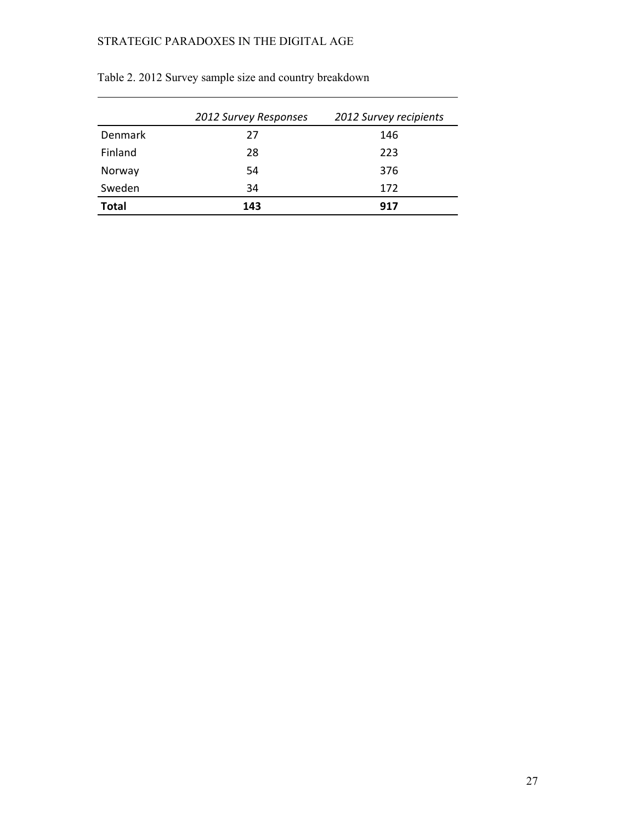|              | 2012 Survey Responses | 2012 Survey recipients |
|--------------|-----------------------|------------------------|
| Denmark      | 27                    | 146                    |
| Finland      | 28                    | 223                    |
| Norway       | 54                    | 376                    |
| Sweden       | 34                    | 172                    |
| <b>Total</b> | 143                   | 917                    |

Table 2. 2012 Survey sample size and country breakdown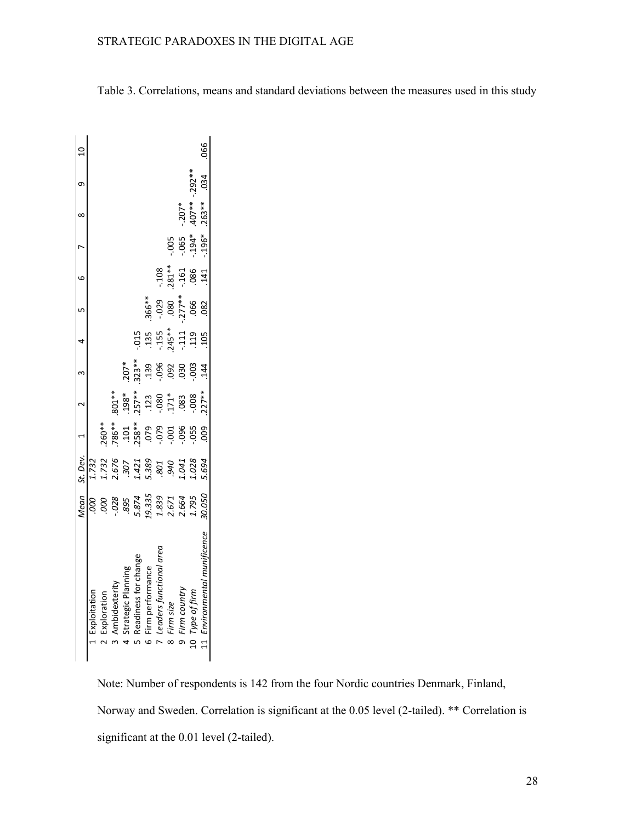| Mean St. Dev. 1 2 3 4 5 6 6 8 9 10<br>1.732 |
|---------------------------------------------|
|                                             |
| $.260**$                                    |
| .786**                                      |
|                                             |
|                                             |
|                                             |
|                                             |
|                                             |
| $-096$                                      |
|                                             |
| <b>600</b>                                  |

Table 3. Correlations, means and standard deviations between the measures used in this study

Note: Number of respondents is 142 from the four Nordic countries Denmark, Finland, Norway and Sweden. Correlation is significant at the 0.05 level (2-tailed). \*\* Correlation is significant at the 0.01 level (2-tailed).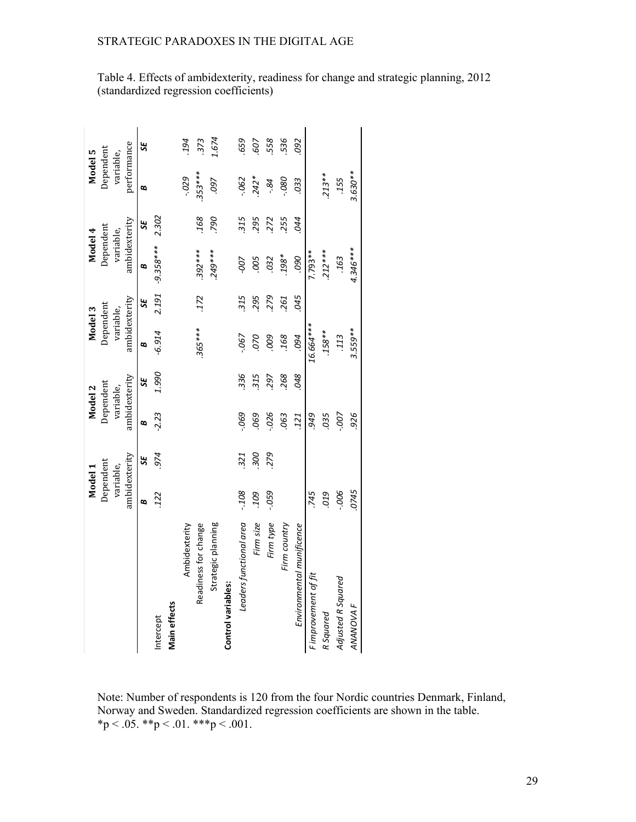|                           | Model 1       |            | Model 2       |       | Model 3       |      | Model 4            |       | Model 5     |       |
|---------------------------|---------------|------------|---------------|-------|---------------|------|--------------------|-------|-------------|-------|
|                           | Dependent     |            | Dependent     |       | Dependent     |      | Dependent          |       | Dependent   |       |
|                           | variable,     |            | variable,     |       | variable,     |      | variable,          |       | variable,   |       |
|                           | ambidexterity |            | ambidexterity |       | ambidexterity |      | ambidexterity      |       | performance |       |
|                           | ø             | SE,        | B             | SE    | B             | SE,  | B                  | ಜ     | B           | SE,   |
| Intercept                 | .122          | .974       | $-2.23$       | 1.990 | $-6.914$      |      | $2.191 - 9.358***$ | 2.302 |             |       |
| Main effects              |               |            |               |       |               |      |                    |       |             |       |
| Ambidexterity             |               |            |               |       |               |      |                    |       | $-0.029$    | 194   |
| Readiness for change      |               |            |               |       | $365***$      | .172 | $.392***$          | .168  | 353***      | 373   |
| Strategic planning        |               |            |               |       |               |      | 249***             | .790  | .097        | 1.674 |
| <b>Control variables:</b> |               |            |               |       |               |      |                    |       |             |       |
| Leaders functional area   | $-108$        | 321        | $-069$        | 336   | $-067$        | 315  | -007               | 315   | $-062$      | 659   |
| Firm size                 | 109           | <b>300</b> | 069           | 315   | 070           | 295  | .005               | 295   | $242*$      | 507   |
| Firm type                 | $-059$        | 279        | $-026$        | 297   | 009           | 279  | .032               | 272   | $-84$       | 558   |
| Firm country              |               |            | .063          | 268   | 168           | 261  | *867               | 255   | $080 -$     | 536   |
| Environmental munificence |               |            | 121           | 048   | 094           | 045  | 090                | 044   | .033        | .092  |
| Fimprovement of fit       | 745           |            | 676.          |       | 16.664***     |      | $7.793**$          |       |             |       |
| R Squared                 | 019           |            | .035          |       | $.158***$     |      | $.212***$          |       | $.213**$    |       |
| Adjusted R Squared        | $-006$        |            | $-00 -$       |       | .113          |      | .163               |       | .155        |       |
| <b>ANANOVAF</b>           | 0745          |            | 926           |       | 3.559**       |      | 4.346***           |       | $3.630**$   |       |

Table 4. Effects of ambidexterity, readiness for change and strategic planning, 2012 (standardized regression coefficients)

Note: Number of respondents is 120 from the four Nordic countries Denmark, Finland, Norway and Sweden. Standardized regression coefficients are shown in the table.  $*p < .05$ .  $* p < .01$ .  $* * p < .001$ .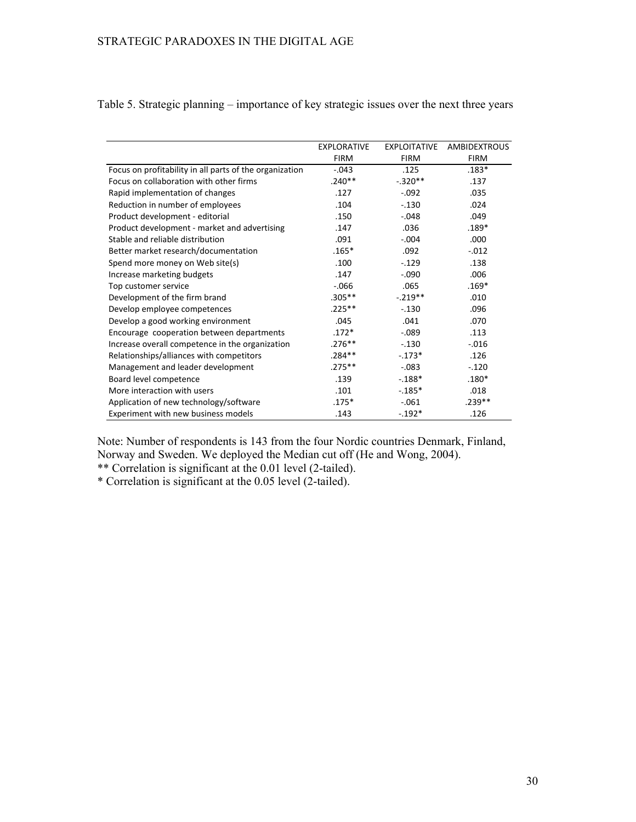|                                                         | <b>EXPLORATIVE</b> | <b>EXPLOITATIVE</b> | <b>AMBIDEXTROUS</b> |
|---------------------------------------------------------|--------------------|---------------------|---------------------|
|                                                         | <b>FIRM</b>        | <b>FIRM</b>         | <b>FIRM</b>         |
| Focus on profitability in all parts of the organization | $-.043$            | .125                | $.183*$             |
| Focus on collaboration with other firms                 | $.240**$           | $-.320**$           | .137                |
| Rapid implementation of changes                         | .127               | $-.092$             | .035                |
| Reduction in number of employees                        | .104               | $-.130$             | .024                |
| Product development - editorial                         | .150               | $-.048$             | .049                |
| Product development - market and advertising            | .147               | .036                | $.189*$             |
| Stable and reliable distribution                        | .091               | $-.004$             | .000                |
| Better market research/documentation                    | $.165*$            | .092                | $-.012$             |
| Spend more money on Web site(s)                         | .100               | $-.129$             | .138                |
| Increase marketing budgets                              | .147               | $-.090$             | .006                |
| Top customer service                                    | $-0.066$           | .065                | $.169*$             |
| Development of the firm brand                           | $.305***$          | $-.219**$           | .010                |
| Develop employee competences                            | $.225***$          | $-.130$             | .096                |
| Develop a good working environment                      | .045               | .041                | .070                |
| Encourage cooperation between departments               | $.172*$            | $-.089$             | .113                |
| Increase overall competence in the organization         | $.276***$          | $-.130$             | $-.016$             |
| Relationships/alliances with competitors                | $.284***$          | $-.173*$            | .126                |
| Management and leader development                       | $.275***$          | $-.083$             | $-.120$             |
| Board level competence                                  | .139               | $-188*$             | $.180*$             |
| More interaction with users                             | .101               | $-0.185*$           | .018                |
| Application of new technology/software                  | $.175*$            | $-.061$             | $.239**$            |
| Experiment with new business models                     | .143               | $-.192*$            | .126                |

Table 5. Strategic planning – importance of key strategic issues over the next three years

Note: Number of respondents is 143 from the four Nordic countries Denmark, Finland, Norway and Sweden. We deployed the Median cut off (He and Wong, 2004).

\*\* Correlation is significant at the 0.01 level (2-tailed).

\* Correlation is significant at the 0.05 level (2-tailed).